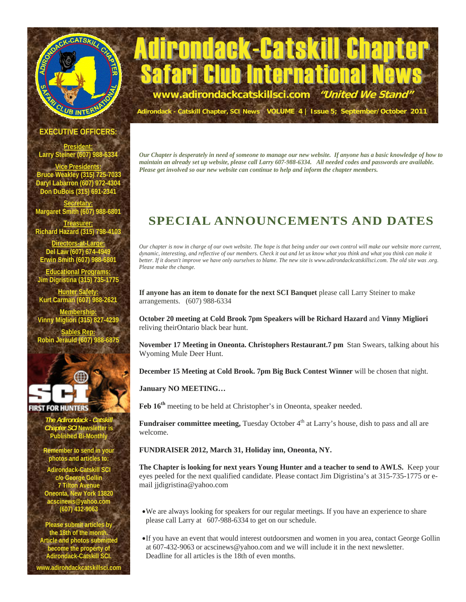

# **Trondack-Catskill Cha** Safari Club International News **www.adirondackcatskillsci.com "United We Stand"**

**Adirondack - Catskill Chapter, SCI News VOLUME 4 | Issue 5; September/October 2011**

#### **EXECUTIVE OFFICERS:**

**President: Larry Steiner (607) 988-**

**Vice Presidents: Bruce Weakley (315) 725-7033 Daryl Labarron (607) 972-4304 Don DuBois (315) 691-2341** 

**Secretary: Margaret Smith (607) 988-6801** 

**Treasurer: Richard Hazard (315) 798-4103** 

**Directors-at-Large:** Del Law (607) 674-49 **Erwin Smith (607) 988-6801** 

**Educational Programs: Jim Digristina (315) 735-1775** 

**Hunter Safety: Kurt Carman (607) 988-2621 Membership: Vinny Migliori (315) 827-4239 Sables Rep:**

**Robin Jerauld (607) 988** 



RST FOR HUNTERS

*The Adirondack - Catskill Chapter SCI* **Newsletter is Published Bi-Monthly** 

**Remember to send in your photos and articles to:** 

**Adirondack-Catskill SCI c/o George Gollin 7 Tilton Avenue Oneonta, New York 13820 acscinews@yahoo.com (607) 432-9063** 

**Please submit articles by the 18th of the month. Article and photos submitted become the property of Adirondack-Catskill SCI. www.adirondackcatskillsci.com** 

*Our Chapter is desperately in need of someone to manage our new website. If anyone has a basic knowledge of how to maintain an already set up website, please call Larry 607-988-6334. All needed codes and passwords are available. Please get involved so our new website can continue to help and inform the chapter members.* 

## **SPECIAL ANNOUNCEMENTS AND DATES**

*Our chapter is now in charge of our own website. The hope is that being under our own control will make our website more current, dynamic, interesting, and reflective of our members. Check it out and let us know what you think and what you think can make it better. If it doesn't improve we have only ourselves to blame. The new site is www.adirondackcatskillsci.com. The old site was .org. Please make the change.* 

**If anyone has an item to donate for the next SCI Banquet** please call Larry Steiner to make arrangements. (607) 988-6334

**October 20 meeting at Cold Brook 7pm Speakers will be Richard Hazard** and **Vinny Migliori**  reliving theirOntario black bear hunt.

**November 17 Meeting in Oneonta. Christophers Restaurant.7 pm** Stan Swears, talking about his Wyoming Mule Deer Hunt.

**December 15 Meeting at Cold Brook. 7pm Big Buck Contest Winner** will be chosen that night.

**January NO MEETING…** 

Feb  $16<sup>th</sup>$  meeting to be held at Christopher's in Oneonta, speaker needed.

**Fundraiser committee meeting, Tuesday October 4<sup>th</sup> at Larry's house, dish to pass and all are** welcome.

#### **FUNDRAISER 2012, March 31, Holiday inn, Oneonta, NY.**

**The Chapter is looking for next years Young Hunter and a teacher to send to AWLS.** Keep your eyes peeled for the next qualified candidate. Please contact Jim Digristina's at 315-735-1775 or email jjdigristina@yahoo.com

- We are always looking for speakers for our regular meetings. If you have an experience to share please call Larry at 607-988-6334 to get on our schedule.
- If you have an event that would interest outdoorsmen and women in you area, contact George Gollin at 607-432-9063 or acscinews@yahoo.com and we will include it in the next newsletter. Deadline for all articles is the 18th of even months.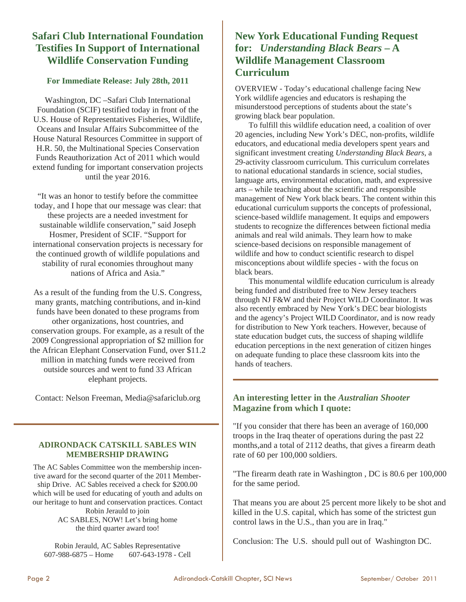## **Safari Club International Foundation Testifies In Support of International Wildlife Conservation Funding**

#### **For Immediate Release: July 28th, 2011**

Washington, DC –Safari Club International Foundation (SCIF) testified today in front of the U.S. House of Representatives Fisheries, Wildlife, Oceans and Insular Affairs Subcommittee of the House Natural Resources Committee in support of H.R. 50, the Multinational Species Conservation Funds Reauthorization Act of 2011 which would extend funding for important conservation projects until the year 2016.

"It was an honor to testify before the committee today, and I hope that our message was clear: that these projects are a needed investment for sustainable wildlife conservation," said Joseph Hosmer, President of SCIF. "Support for international conservation projects is necessary for the continued growth of wildlife populations and stability of rural economies throughout many nations of Africa and Asia."

As a result of the funding from the U.S. Congress, many grants, matching contributions, and in-kind funds have been donated to these programs from other organizations, host countries, and conservation groups. For example, as a result of the 2009 Congressional appropriation of \$2 million for the African Elephant Conservation Fund, over \$11.2 million in matching funds were received from outside sources and went to fund 33 African elephant projects.

Contact: Nelson Freeman, Media@safariclub.org

#### **ADIRONDACK CATSKILL SABLES WIN MEMBERSHIP DRAWING**

The AC Sables Committee won the membership incentive award for the second quarter of the 2011 Membership Drive. AC Sables received a check for \$200.00 which will be used for educating of youth and adults on our heritage to hunt and conservation practices. Contact Robin Jerauld to join AC SABLES, NOW! Let's bring home the third quarter award too!

Robin Jerauld, AC Sables Representative 607-988-6875 – Home 607-643-1978 - Cell

## **New York Educational Funding Request for:** *Understanding Black Bears* **– A Wildlife Management Classroom Curriculum**

OVERVIEW - Today's educational challenge facing New York wildlife agencies and educators is reshaping the misunderstood perceptions of students about the state's growing black bear population.

 To fulfill this wildlife education need, a coalition of over 20 agencies, including New York's DEC, non-profits, wildlife educators, and educational media developers spent years and significant investment creating *Understanding Black Bears*, a 29-activity classroom curriculum. This curriculum correlates to national educational standards in science, social studies, language arts, environmental education, math, and expressive arts – while teaching about the scientific and responsible management of New York black bears. The content within this educational curriculum supports the concepts of professional, science-based wildlife management. It equips and empowers students to recognize the differences between fictional media animals and real wild animals. They learn how to make science-based decisions on responsible management of wildlife and how to conduct scientific research to dispel misconceptions about wildlife species - with the focus on black bears.

 This monumental wildlife education curriculum is already being funded and distributed free to New Jersey teachers through NJ F&W and their Project WILD Coordinator. It was also recently embraced by New York's DEC bear biologists and the agency's Project WILD Coordinator, and is now ready for distribution to New York teachers. However, because of state education budget cuts, the success of shaping wildlife education perceptions in the next generation of citizen hinges on adequate funding to place these classroom kits into the hands of teachers.

#### **An interesting letter in the** *Australian Shooter*  **Magazine from which I quote:**

"If you consider that there has been an average of 160,000 troops in the Iraq theater of operations during the past 22 months,and a total of 2112 deaths, that gives a firearm death rate of 60 per 100,000 soldiers.

"The firearm death rate in Washington , DC is 80.6 per 100,000 for the same period.

That means you are about 25 percent more likely to be shot and killed in the U.S. capital, which has some of the strictest gun control laws in the U.S., than you are in Iraq."

Conclusion: The U.S. should pull out of Washington DC.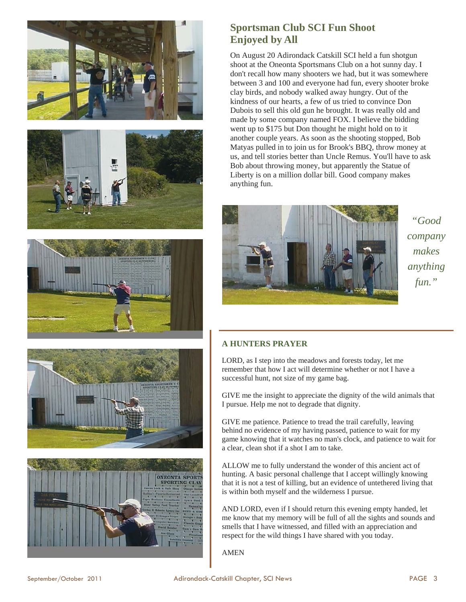









### **Sportsman Club SCI Fun Shoot Enjoyed by All**

On August 20 Adirondack Catskill SCI held a fun shotgun shoot at the Oneonta Sportsmans Club on a hot sunny day. I don't recall how many shooters we had, but it was somewhere between 3 and 100 and everyone had fun, every shooter broke clay birds, and nobody walked away hungry. Out of the kindness of our hearts, a few of us tried to convince Don Dubois to sell this old gun he brought. It was really old and made by some company named FOX. I believe the bidding went up to \$175 but Don thought he might hold on to it another couple years. As soon as the shooting stopped, Bob Matyas pulled in to join us for Brook's BBQ, throw money at us, and tell stories better than Uncle Remus. You'll have to ask Bob about throwing money, but apparently the Statue of Liberty is on a million dollar bill. Good company makes anything fun.



*"Good company makes anything fun."* 

#### **A HUNTERS PRAYER**

LORD, as I step into the meadows and forests today, let me remember that how I act will determine whether or not I have a successful hunt, not size of my game bag.

GIVE me the insight to appreciate the dignity of the wild animals that I pursue. Help me not to degrade that dignity.

GIVE me patience. Patience to tread the trail carefully, leaving behind no evidence of my having passed, patience to wait for my game knowing that it watches no man's clock, and patience to wait for a clear, clean shot if a shot I am to take.

ALLOW me to fully understand the wonder of this ancient act of hunting. A basic personal challenge that I accept willingly knowing that it is not a test of killing, but an evidence of untethered living that is within both myself and the wilderness I pursue.

AND LORD, even if I should return this evening empty handed, let me know that my memory will be full of all the sights and sounds and smells that I have witnessed, and filled with an appreciation and respect for the wild things I have shared with you today.

AMEN